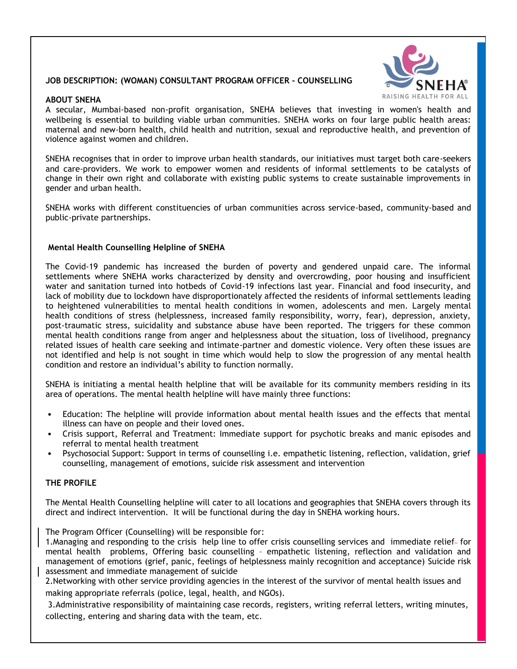# **JOB DESCRIPTION: (WOMAN) CONSULTANT PROGRAM OFFICER - COUNSELLING**

#### **ABOUT SNEHA**



A secular, Mumbai-based non-profit organisation, SNEHA believes that investing in women's health and wellbeing is essential to building viable urban communities. SNEHA works on four large public health areas: maternal and new-born health, child health and nutrition, sexual and reproductive health, and prevention of violence against women and children.

SNEHA recognises that in order to improve urban health standards, our initiatives must target both care-seekers and care-providers. We work to empower women and residents of informal settlements to be catalysts of change in their own right and collaborate with existing public systems to create sustainable improvements in gender and urban health.

SNEHA works with different constituencies of urban communities across service-based, community-based and public-private partnerships.

#### **Mental Health Counselling Helpline of SNEHA**

The Covid-19 pandemic has increased the burden of poverty and gendered unpaid care. The informal settlements where SNEHA works characterized by density and overcrowding, poor housing and insufficient water and sanitation turned into hotbeds of Covid-19 infections last year. Financial and food insecurity, and lack of mobility due to lockdown have disproportionately affected the residents of informal settlements leading to heightened vulnerabilities to mental health conditions in women, adolescents and men. Largely mental health conditions of stress (helplessness, increased family responsibility, worry, fear), depression, anxiety, post-traumatic stress, suicidality and substance abuse have been reported. The triggers for these common mental health conditions range from anger and helplessness about the situation, loss of livelihood, pregnancy related issues of health care seeking and intimate-partner and domestic violence. Very often these issues are not identified and help is not sought in time which would help to slow the progression of any mental health condition and restore an individual's ability to function normally.

SNEHA is initiating a mental health helpline that will be available for its community members residing in its area of operations. The mental health helpline will have mainly three functions:

- Education: The helpline will provide information about mental health issues and the effects that mental illness can have on people and their loved ones.
- Crisis support, Referral and Treatment: Immediate support for psychotic breaks and manic episodes and referral to mental health treatment
- Psychosocial Support: Support in terms of counselling i.e. empathetic listening, reflection, validation, grief counselling, management of emotions, suicide risk assessment and intervention

# **THE PROFILE**

The Mental Health Counselling helpline will cater to all locations and geographies that SNEHA covers through its direct and indirect intervention. It will be functional during the day in SNEHA working hours.

The Program Officer (Counselling) will be responsible for:

1. Managing and responding to the crisis help line to offer crisis counselling services and immediate relief- for mental health problems, Offering basic counselling – empathetic listening, reflection and validation and management of emotions (grief, panic, feelings of helplessness mainly recognition and acceptance) Suicide risk assessment and immediate management of suicide

2.Networking with other service providing agencies in the interest of the survivor of mental health issues and making appropriate referrals (police, legal, health, and NGOs).

3.Administrative responsibility of maintaining case records, registers, writing referral letters, writing minutes, collecting, entering and sharing data with the team, etc.